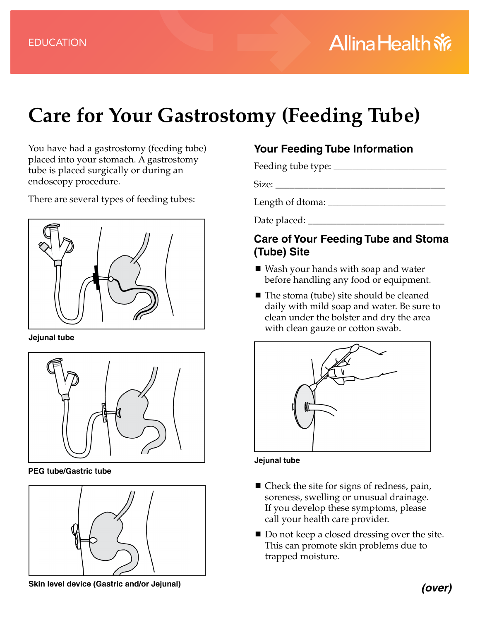# **Care for Your Gastrostomy (Feeding Tube)**

You have had a gastrostomy (feeding tube) placed into your stomach. A gastrostomy tube is placed surgically or during an endoscopy procedure.

There are several types of feeding tubes:



**Jejunal tube**



**PEG tube/Gastric tube**



## **Skin level device (Gastric and/or Jejunal)**

# **Your Feeding Tube Information**

Feeding tube type: \_\_\_\_\_\_\_\_\_\_\_\_\_\_\_\_\_\_\_\_\_\_\_\_

Size: \_\_\_\_\_\_\_\_\_\_\_\_\_\_\_\_\_\_\_\_\_\_\_\_\_\_\_\_\_\_\_\_\_\_\_\_

Length of dtoma:  $\frac{1}{2}$ 

Date placed: \_\_\_\_\_\_\_\_\_\_\_\_\_\_\_\_\_\_\_\_\_\_\_\_\_\_\_\_\_

### **Care of Your Feeding Tube and Stoma (Tube) Site**

- Wash your hands with soap and water before handling any food or equipment.
- The stoma (tube) site should be cleaned daily with mild soap and water. Be sure to clean under the bolster and dry the area with clean gauze or cotton swab.



#### **Jejunal tube**

- Check the site for signs of redness, pain, soreness, swelling or unusual drainage. If you develop these symptoms, please call your health care provider.
- Do not keep a closed dressing over the site. This can promote skin problems due to trapped moisture.